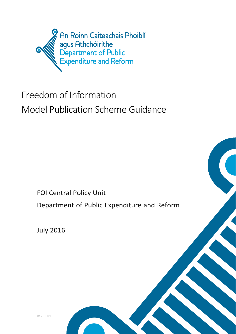

# Freedom of Information Model Publication Scheme Guidance

**FOI Central Policy Unit** 

Department of Public Expenditure and Reform

**July 2016** 

**Rev 001**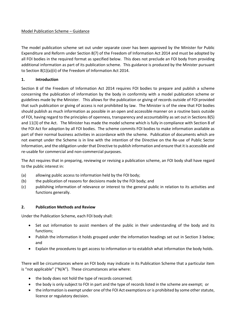## Model Publication Scheme – Guidance

The model publication scheme set out under separate cover has been approved by the Minister for Public Expenditure and Reform under Section 8(7) of the Freedom of Information Act 2014 and must be adopted by all FOI bodies in the required format as specified below. This does not preclude an FOI body from providing additional information as part of its publication scheme. This guidance is produced by the Minister pursuant to Section 8(1)(a)(ii) of the Freedom of Information Act 2014.

## **1. Introduction**

Section 8 of the Freedom of Information Act 2014 requires FOI bodies to prepare and publish a scheme concerning the publication of information by the body in conformity with a model publication scheme or guidelines made by the Minister. This allows for the publication or giving of records outside of FOI provided that such publication or giving of access is not prohibited by law. The Minister is of the view that FOI bodies should publish as much information as possible in an open and accessible manner on a routine basis outside of FOI, having regard to the principles of openness, transparency and accountability as set out in Sections 8(5) and 11(3) of the Act. The Minister has made the model scheme which is fully in compliance with Section 8 of the FOI Act for adoption by all FOI bodies. The scheme commits FOI bodies to make information available as part of their normal business activities in accordance with the scheme. Publication of documents which are not exempt under the Scheme is in line with the intention of the Directive on the Re-use of Public Sector Information, and the obligation under that Directive to publish information and ensure that it is accessible and re-usable for commercial and non-commercial purposes.

The Act requires that in preparing, reviewing or revising a publication scheme, an FOI body shall have regard to the public interest in:

- (a) allowing public access to information held by the FOI body;
- (b) the publication of reasons for decisions made by the FOI body; and
- (c) publishing information of relevance or interest to the general public in relation to its activities and functions generally.

## **2. Publication Methods and Review**

Under the Publication Scheme, each FOI body shall:

- Set out information to assist members of the public in their understanding of the body and its functions;
- Publish the information it holds grouped under the information headings set out in Section 3 below; and
- Explain the procedures to get access to information or to establish what information the body holds.

There will be circumstances where an FOI body may indicate in its Publication Scheme that a particular item is "not applicable" ("N/A"). These circumstances arise where:

- the body does not hold the type of records concerned;
- the body is only subject to FOI in part and the type of records listed in the scheme are exempt; or
- the information is exempt under one of the FOI Act exemptions or is prohibited by some other statute, licence or regulatory decision.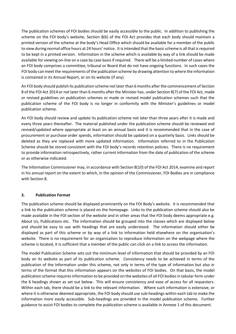The publication schemes of FOI bodies should be easily accessible to the public. In addition to publishing the scheme on the FOI body's website, Section 8(6) of the FOI Act provides that each body should maintain a printed version of the scheme at the body's Head Office which should be available for a member of the public to view during normal office hours at 24 hours' notice. It is intended that the basic scheme is all that is required to be kept in a printed version. Information in the scheme which is available by way of a link should be made available for viewing on-line on a case by case basisif required. There will be a limited number of cases where an FOI body comprises a committee, tribunal or Board that do not have ongoing functions. In such cases the FOI body can meet the requirements of the publication scheme by drawing attention to where the information is contained in its Annual Report, or on its website (if any).

An FOI body should publish its publication scheme not later than 6 months after the commencement of Section 8 of the FOI Act 2014 or not later than 6 months after the Minister has, under Section 8(7) of the FOI Act, made or revised guidelines on publication schemes or made or revised model publication schemes such that the publication scheme of the FOI body is no longer in conformity with the Minister's guidelines or model publication scheme.

An FOI body should review and update its publication scheme not later than three years after it is made and every three years thereafter. The material published under the publication scheme should be reviewed and revised/updated where appropriate at least on an annual basis and it is recommended that in the case of procurement or purchase order spends, information should be updated on a quarterly basis. Links should be deleted as they are replaced with more updated information. Information referred to in the Publication Scheme should be stored consistent with the FOI body's records retention policies. There is no requirement to provide information retrospectively, rather current information from the date of publication of the scheme or as otherwise indicated.

The Information Commissioner may, in accordance with Section 8(10) of the FOI Act 2014, examine and report in his annual report on the extent to which, in the opinion of the Commissioner, FOI Bodies are in compliance with Section 8.

## **3. Publication Format**

The publication scheme should be displayed prominently on the FOI Body's website. It is recommended that a link to the publication scheme is placed on the homepage. Links to the publication scheme should also be made available in the FOI section of the website and in other areas that the FOI body deems appropriate e.g. About Us, Publications etc. The information should be grouped into the classes which are displayed below and should be easy to use with headings that are easily understood. The information should either be displayed as part of this scheme or by way of a link to information held elsewhere on the organisation's website. There is no requirement for an organisation to reproduce information on the webpage where the scheme is located, it is sufficient that a member of the public can click on a link to access the information.

The model Publication Scheme sets out the minimum level of information that should be provided by an FOI body on its website as part of its publication scheme. Consistency needs to be achieved in terms of the publication of the Information under this scheme, not only in terms of the type of information but also in terms of the format that this information appears on the websites of FOI bodies. On that basis, the model publication scheme requires information to be provided on the websites of all FOI bodies in tabular form under the 6 headings shown as set out below. This will ensure consistency and ease of access for all requesters. Within each tab, there should be a link to the relevant information. Where such information is extensive, or where it is otherwise deemed appropriate, the FOI body should use sub-headings within each tab to make the information more easily accessible. Sub-headings are provided in the model publication scheme. Further guidance to assist FOI bodies to complete the publication scheme is available in Annexe 1 of this document.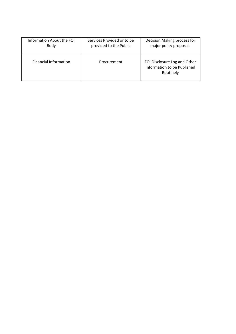| Information About the FOI    | Services Provided or to be | Decision Making process for                                              |
|------------------------------|----------------------------|--------------------------------------------------------------------------|
| Body                         | provided to the Public     | major policy proposals                                                   |
| <b>Financial Information</b> | Procurement                | FOI Disclosure Log and Other<br>Information to be Published<br>Routinely |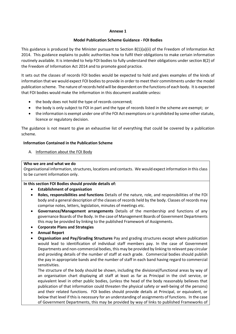#### **Annexe 1**

#### **Model Publication Scheme Guidance - FOI Bodies**

This guidance is produced by the Minister pursuant to Section 8(1)(a)(ii) of the Freedom of Information Act 2014. This guidance explains to public authorities how to fulfil their obligations to make certain information routinely available. It is intended to help FOI bodies to fully understand their obligations under section 8(2) of the Freedom of Information Act 2014 and to promote good practice.

It sets out the classes of records FOI bodies would be expected to hold and gives examples of the kinds of information that we would expect FOI bodies to provide in order to meet their commitments under the model publication scheme. The nature of records held will be dependent on the functions of each body. It is expected that FOI bodies would make the information in this document available unless:

- the body does not hold the type of records concerned;
- the body is only subject to FOI in part and the type of records listed in the scheme are exempt; or
- the information is exempt under one of the FOI Act exemptions or is prohibited by some other statute, licence or regulatory decision.

The guidance is not meant to give an exhaustive list of everything that could be covered by a publication scheme.

## **Information Contained in the Publication Scheme**

A. Information about the FOI Body

#### **Who we are and what we do**

Organisational information, structures, locations and contacts. We would expect information in this class to be current information only.

## **In this section FOI Bodies should provide details of:**

- **Establishment of organisation**
- **Roles, responsibilities and functions** Details of the nature, role, and responsibilities of the FOI body and a general description of the classes of records held by the body. Classes of records may comprise notes, letters, legislation, minutes of meetings etc.
- **Governance/Management arrangements** Details of the membership and functions of any governance Boards of the Body. In the case of Management Boards of Government Departments this may be provided by linking to the published Framework of Assignments.
- **Corporate Plans and Strategies**
- **Annual Report**
- **Organisation and Pay/Grading Structures** Pay and grading structures except where publication would lead to identification of individual staff members pay. In the case of Government Departments and non-commercial bodies, this may be provided by linking to relevant pay circular and providing details of the number of staff at each grade. Commercial bodies should publish the pay in appropriate bands and the number of staff in each band having regard to commercial sensitivities.

The structure of the body should be shown, including the divisional/functional areas by way of an organisation chart displaying all staff at least as far as Principal in the civil service, or equivalent level in other public bodies, (unless the head of the body reasonably believes that publication of that information could threaten the physical safety or well-being of the persons) and their related functions. FOI bodies should provide details at Principal, or equivalent, or below that level if this is necessary for an understanding of assignments of functions. In the case of Government Departments, this may be provided by way of links to published Frameworks of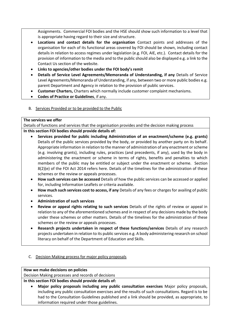Assignments. Commercial FOI bodies and the HSE should show such information to a level that is appropriate having regard to their size and structure.

- **Locations and contact details for the organisation** Contact points and addresses of the organisation for each of its functional areas covered by FOI should be shown, including contact details in relation to access regimes under legislation (e.g. FOI, AIE, etc.). Contact details for the provision of information to the media and to the public should also be displayed e.g. a link to the Contact Us section of the website.
- **Links to agencies/other bodies under the FOI body's remit**
- **Details of Service Level Agreements/Memoranda of Understanding, if any** Details of Service Level Agreements/Memoranda of Understanding, if any, between two or more public bodies e.g. parent Department and Agency in relation to the provision of public services.
- **Customer Charters,** Charters which normally include customer complaint mechanisms.
- **Codes of Practice or Guidelines**, if any.
- B. Services Provided or to be provided to the Public

## **The services we offer**

Details of functions and services that the organisation provides and the decision making process

## **In this section FOI bodies should provide details of:**

- **Services provided for public including Administration of an enactment/scheme (e.g. grants)** Details of the public services provided by the body, or provided by another party on its behalf. Appropriate information in relation to the manner of administration of any enactment or scheme (e.g. involving grants), including rules, practices (and precedents, if any), used by the body in administering the enactment or scheme in terms of rights, benefits and penalties to which members of the public may be entitled or subject under the enactment or scheme. Section 8(2)(e) of the FOI Act 2014 refers here. Details of the timelines for the administration of these schemes or the review or appeals processes.
- **How such services can be accessed** Details of how the public services can be accessed or applied for, including Information Leaflets or criteria available.
- **How much such services cost to access, if any** Details of any fees or charges for availing of public services.
- **Administration of such services**
- **Review or appeal rights relating to such services** Details of the rights of review or appeal in relation to any of the aforementioned schemes and in respect of any decisions made by the body under these schemes or other matters. Details of the timelines for the administration of these schemes or the review or appeals processes.
- **Research projects undertaken in respect of these functions/services** Details of any research projects undertaken in relation to its public services e.g. A body administering research on school literacy on behalf of the Department of Education and Skills.
- C. Decision Making process for major policy proposals

## **How we make decisions on policies**

Decision Making processes and records of decisions

**In this section FOI bodies should provide details of:**

• **Major policy proposals including any public consultation exercises** Major policy proposals, including any public consultation exercises and the results of such consultations. Regard is to be had to the Consultation Guidelines published and a link should be provided, as appropriate, to information required under those guidelines.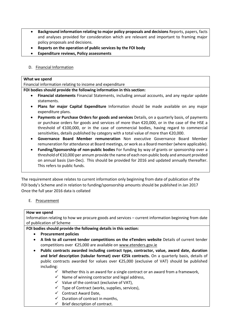- **Background information relating to major policy proposals and decisions** Reports, papers, facts and analyses provided for consideration which are relevant and important to framing major policy proposals and decisions.
- **Reports on the operation of public services by the FOI body**
- **Expenditure reviews, Policy assessments**
- D. Financial Information

#### **What we spend**

Financial information relating to income and expenditure

**FOI bodies should provide the following information in this section:**

- **Financial statements** Financial Statements, including annual accounts, and any regular update statements.
- **Plans for major Capital Expenditure** Information should be made available on any major expenditure plans.
- **Payments or Purchase Orders for goods and services** Details, on a quarterly basis, of payments or purchase orders for goods and services of more than €20,000, or in the case of the HSE a threshold of €100,000, or in the case of commercial bodies, having regard to commercial sensitivities, details published by category with a total value of more than  $\epsilon$ 20,000.
- **Governance Board Member remuneration** Non executive Governance Board Member remuneration for attendance at Board meetings, or work as a Board member (where applicable).
- **Funding/Sponsorship of non-public bodies** For funding by way of grants or sponsorship over a threshold of €10,000 per annum provide the name of each non-public body and amount provided on annual basis (Jan-Dec). This should be provided for 2016 and updated annually thereafter. This refers to public funds.

The requirement above relates to current information only beginning from date of publication of the FOI body's Scheme and in relation to funding/sponsorship amounts should be published in Jan 2017 Once the full year 2016 data is collated

## E. Procurement

#### **How we spend**

Information relating to how we procure goods and services – current information beginning from date of publication of Scheme

**FOI bodies should provide the following details in this section:**

- **Procurement policies**
- **A link to all current tender competitions on the eTenders website** Details of current tender competitions over €25,000 are available on [www.etenders.gov.ie](http://www.etenders.gov.ie/)
- **Public contracts awarded including contract type, contractor, value, award date, duration and brief description (tabular format) over €25k contracts.** On a quarterly basis, details of public contracts awarded for values over €25,000 (exclusive of VAT) should be published including:
	- $\checkmark$  Whether this is an award for a single contract or an award from a framework,
	- $\checkmark$  Name of winning contractor and legal address,
	- $\checkmark$  Value of the contract (exclusive of VAT),
	- $\checkmark$  Type of Contract (works, supplies, services),
	- ✓ Contract Award Date,
	- $\checkmark$  Duration of contract in months,
	- $\checkmark$  Brief description of contract.